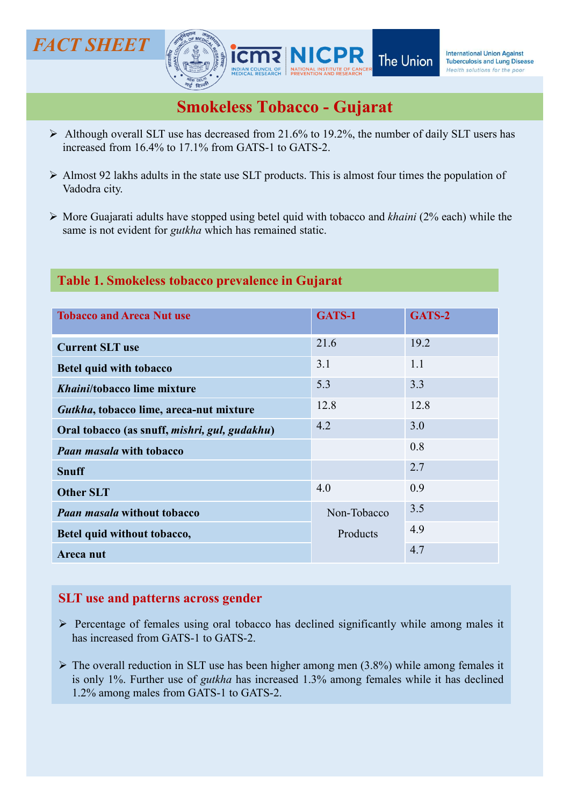

- $\triangleright$  Although overall SLT use has decreased from 21.6% to 19.2%, the number of daily SLT users has increased from 16.4% to 17.1% from GATS-1 to GATS-2.
- $\triangleright$  Almost 92 lakhs adults in the state use SLT products. This is almost four times the population of
- $\triangleright$  More Guajarati adults have stopped using betel quid with tobacco and *khaini* (2% each) while the same is not evident for *gutkha* which has remained static.

# Table 1. Smokeless tobacco prevalence in Gujarat

| INDIAN COUNCIL OF   NATIONAL INSTITUTE OF CAN<br>MEDICAL RESEARCH   PREVENTION AND RESEARCH                                                                                                                                                             |             | Health solutions for the poor |
|---------------------------------------------------------------------------------------------------------------------------------------------------------------------------------------------------------------------------------------------------------|-------------|-------------------------------|
| <b>Smokeless Tobacco - Gujarat</b>                                                                                                                                                                                                                      |             |                               |
| Although overall SLT use has decreased from 21.6% to 19.2%, the number of daily SLT users has<br>increased from 16.4% to 17.1% from GATS-1 to GATS-2.                                                                                                   |             |                               |
| > Almost 92 lakhs adults in the state use SLT products. This is almost four times the population of<br>Vadodra city.                                                                                                                                    |             |                               |
| > More Guajarati adults have stopped using betel quid with tobacco and khaini (2% each) while the<br>same is not evident for <i>gutkha</i> which has remained static.                                                                                   |             |                               |
|                                                                                                                                                                                                                                                         |             |                               |
| Table 1. Smokeless tobacco prevalence in Gujarat                                                                                                                                                                                                        |             |                               |
| <b>Tobacco and Areca Nut use</b>                                                                                                                                                                                                                        | GATS-1      | GATS-2                        |
|                                                                                                                                                                                                                                                         |             |                               |
| <b>Current SLT use</b>                                                                                                                                                                                                                                  | 21.6        | 19.2                          |
| <b>Betel quid with tobacco</b>                                                                                                                                                                                                                          | 3.1         | 1.1                           |
| Khaini/tobacco lime mixture                                                                                                                                                                                                                             | 5.3         | 3.3                           |
| Gutkha, tobacco lime, areca-nut mixture                                                                                                                                                                                                                 | 12.8        | 12.8                          |
| Oral tobacco (as snuff, mishri, gul, gudakhu)                                                                                                                                                                                                           | 4.2         | 3.0                           |
| <b>Paan masala with tobacco</b>                                                                                                                                                                                                                         |             | 0.8                           |
| <b>Snuff</b>                                                                                                                                                                                                                                            |             | 2.7                           |
| <b>Other SLT</b>                                                                                                                                                                                                                                        | 4.0         | 0.9                           |
| <b>Paan masala without tobacco</b>                                                                                                                                                                                                                      | Non-Tobacco | 3.5                           |
| Betel quid without tobacco,                                                                                                                                                                                                                             | Products    | 4.9                           |
| Areca nut                                                                                                                                                                                                                                               |             | 4.7                           |
|                                                                                                                                                                                                                                                         |             |                               |
| <b>SLT</b> use and patterns across gender                                                                                                                                                                                                               |             |                               |
| > Percentage of females using oral tobacco has declined significantly while among males it<br>has increased from GATS-1 to GATS-2.                                                                                                                      |             |                               |
| $\triangleright$ The overall reduction in SLT use has been higher among men (3.8%) while among females it<br>is only 1%. Further use of <i>gutkha</i> has increased 1.3% among females while it has declined<br>1.2% among males from GATS-1 to GATS-2. |             |                               |
|                                                                                                                                                                                                                                                         |             |                               |
|                                                                                                                                                                                                                                                         |             |                               |
|                                                                                                                                                                                                                                                         |             |                               |

- 
-